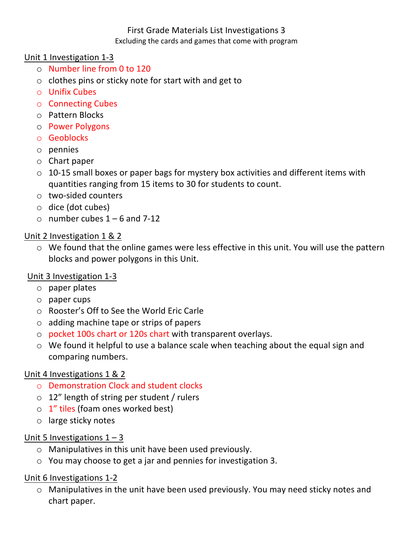## First Grade Materials List Investigations 3 Excluding the cards and games that come with program

#### Unit 1 Investigation 1-3

- o Number line from 0 to 120
- $\circ$  clothes pins or sticky note for start with and get to
- o Unifix Cubes
- $\circ$  Connecting Cubes
- o Pattern Blocks
- o Power Polygons
- o Geoblocks
- o pennies
- $\circ$  Chart paper
- $\circ$  10-15 small boxes or paper bags for mystery box activities and different items with quantities ranging from 15 items to 30 for students to count.
- $\circ$  two-sided counters
- $\circ$  dice (dot cubes)
- $\circ$  number cubes 1 6 and 7-12

### Unit 2 Investigation 1 & 2

 $\circ$  We found that the online games were less effective in this unit. You will use the pattern blocks and power polygons in this Unit.

# Unit 3 Investigation 1-3

- $\circ$  paper plates
- $\circ$  paper cups
- $\circ$  Rooster's Off to See the World Eric Carle
- $\circ$  adding machine tape or strips of papers
- $\circ$  pocket 100s chart or 120s chart with transparent overlays.
- $\circ$  We found it helpful to use a balance scale when teaching about the equal sign and comparing numbers.

#### Unit 4 Investigations 1 & 2

- o Demonstration Clock and student clocks
- $\circ$  12" length of string per student / rulers
- $\circ$  1" tiles (foam ones worked best)
- $\circ$  large sticky notes

#### Unit 5 Investigations  $1 - 3$

- $\circ$  Manipulatives in this unit have been used previously.
- $\circ$  You may choose to get a jar and pennies for investigation 3.

# Unit 6 Investigations 1-2

 $\circ$  Manipulatives in the unit have been used previously. You may need sticky notes and chart paper.